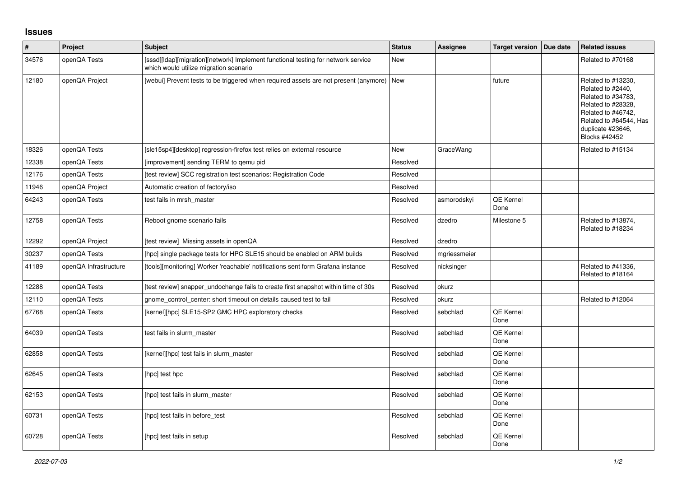## **Issues**

| $\vert$ # | Project               | <b>Subject</b>                                                                                                              | <b>Status</b> | <b>Assignee</b> | <b>Target version</b>    | Due date | <b>Related issues</b>                                                                                                                                                            |
|-----------|-----------------------|-----------------------------------------------------------------------------------------------------------------------------|---------------|-----------------|--------------------------|----------|----------------------------------------------------------------------------------------------------------------------------------------------------------------------------------|
| 34576     | openQA Tests          | [sssd][ldap][migration][network] Implement functional testing for network service<br>which would utilize migration scenario | New           |                 |                          |          | Related to #70168                                                                                                                                                                |
| 12180     | openQA Project        | [webui] Prevent tests to be triggered when required assets are not present (anymore)                                        | New           |                 | future                   |          | Related to #13230,<br>Related to #2440,<br>Related to #34783,<br>Related to #28328,<br>Related to #46742,<br>Related to #64544, Has<br>duplicate #23646,<br><b>Blocks #42452</b> |
| 18326     | openQA Tests          | [sle15sp4][desktop] regression-firefox test relies on external resource                                                     | <b>New</b>    | GraceWang       |                          |          | Related to #15134                                                                                                                                                                |
| 12338     | openQA Tests          | [improvement] sending TERM to gemu pid                                                                                      | Resolved      |                 |                          |          |                                                                                                                                                                                  |
| 12176     | openQA Tests          | [test review] SCC registration test scenarios: Registration Code                                                            | Resolved      |                 |                          |          |                                                                                                                                                                                  |
| 11946     | openQA Project        | Automatic creation of factory/iso                                                                                           | Resolved      |                 |                          |          |                                                                                                                                                                                  |
| 64243     | openQA Tests          | test fails in mrsh master                                                                                                   | Resolved      | asmorodskyi     | QE Kernel<br>Done        |          |                                                                                                                                                                                  |
| 12758     | openQA Tests          | Reboot gnome scenario fails                                                                                                 | Resolved      | dzedro          | Milestone 5              |          | Related to #13874,<br>Related to #18234                                                                                                                                          |
| 12292     | openQA Project        | [test review] Missing assets in openQA                                                                                      | Resolved      | dzedro          |                          |          |                                                                                                                                                                                  |
| 30237     | openQA Tests          | [hpc] single package tests for HPC SLE15 should be enabled on ARM builds                                                    | Resolved      | mgriessmeier    |                          |          |                                                                                                                                                                                  |
| 41189     | openQA Infrastructure | [tools][monitoring] Worker 'reachable' notifications sent form Grafana instance                                             | Resolved      | nicksinger      |                          |          | Related to #41336,<br>Related to #18164                                                                                                                                          |
| 12288     | openQA Tests          | [test review] snapper undochange fails to create first snapshot within time of 30s                                          | Resolved      | okurz           |                          |          |                                                                                                                                                                                  |
| 12110     | openQA Tests          | gnome control center: short timeout on details caused test to fail                                                          | Resolved      | okurz           |                          |          | Related to #12064                                                                                                                                                                |
| 67768     | openQA Tests          | [kernel][hpc] SLE15-SP2 GMC HPC exploratory checks                                                                          | Resolved      | sebchlad        | QE Kernel<br>Done        |          |                                                                                                                                                                                  |
| 64039     | openQA Tests          | test fails in slurm master                                                                                                  | Resolved      | sebchlad        | <b>QE Kernel</b><br>Done |          |                                                                                                                                                                                  |
| 62858     | openQA Tests          | [kernel][hpc] test fails in slurm master                                                                                    | Resolved      | sebchlad        | <b>QE Kernel</b><br>Done |          |                                                                                                                                                                                  |
| 62645     | openQA Tests          | [hpc] test hpc                                                                                                              | Resolved      | sebchlad        | <b>QE Kernel</b><br>Done |          |                                                                                                                                                                                  |
| 62153     | openQA Tests          | [hpc] test fails in slurm_master                                                                                            | Resolved      | sebchlad        | QE Kernel<br>Done        |          |                                                                                                                                                                                  |
| 60731     | openQA Tests          | [hpc] test fails in before test                                                                                             | Resolved      | sebchlad        | QE Kernel<br>Done        |          |                                                                                                                                                                                  |
| 60728     | openQA Tests          | [hpc] test fails in setup                                                                                                   | Resolved      | sebchlad        | <b>QE Kernel</b><br>Done |          |                                                                                                                                                                                  |